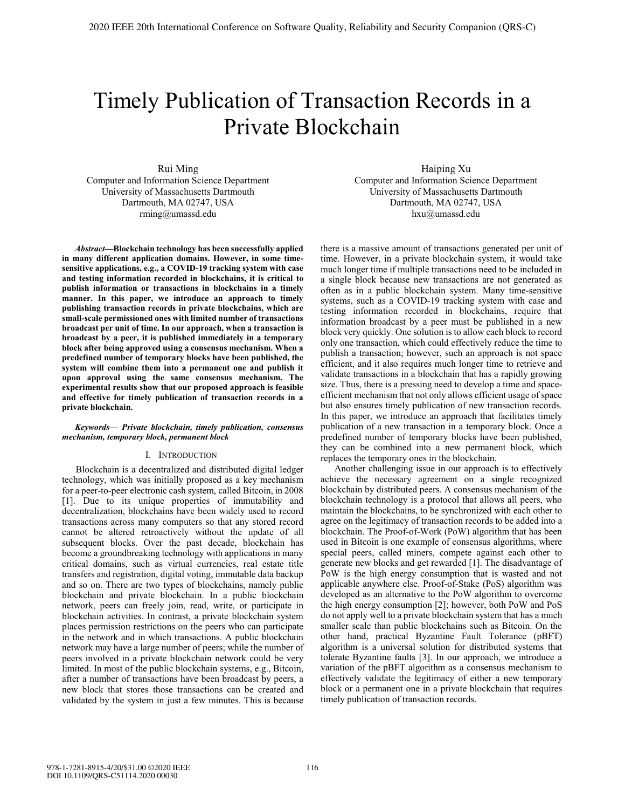# Timely Publication of Transaction Records in a Private Blockchain

Rui Ming Computer and Information Science Department University of Massachusetts Dartmouth Dartmouth, MA 02747, USA rming@umassd.edu

*Abstract***—Blockchain technology has been successfully applied in many different application domains. However, in some timesensitive applications, e.g., a COVID-19 tracking system with case and testing information recorded in blockchains, it is critical to publish information or transactions in blockchains in a timely manner. In this paper, we introduce an approach to timely publishing transaction records in private blockchains, which are small-scale permissioned ones with limited number of transactions broadcast per unit of time. In our approach, when a transaction is broadcast by a peer, it is published immediately in a temporary block after being approved using a consensus mechanism. When a predefined number of temporary blocks have been published, the system will combine them into a permanent one and publish it upon approval using the same consensus mechanism. The experimental results show that our proposed approach is feasible and effective for timely publication of transaction records in a private blockchain.** 

#### *Keywords— Private blockchain, timely publication, consensus mechanism, temporary block, permanent block*

# I. INTRODUCTION

Blockchain is a decentralized and distributed digital ledger technology, which was initially proposed as a key mechanism for a peer-to-peer electronic cash system, called Bitcoin, in 2008 [1]. Due to its unique properties of immutability and decentralization, blockchains have been widely used to record transactions across many computers so that any stored record cannot be altered retroactively without the update of all subsequent blocks. Over the past decade, blockchain has become a groundbreaking technology with applications in many critical domains, such as virtual currencies, real estate title transfers and registration, digital voting, immutable data backup and so on. There are two types of blockchains, namely public blockchain and private blockchain. In a public blockchain network, peers can freely join, read, write, or participate in blockchain activities. In contrast, a private blockchain system places permission restrictions on the peers who can participate in the network and in which transactions. A public blockchain network may have a large number of peers; while the number of peers involved in a private blockchain network could be very limited. In most of the public blockchain systems, e.g., Bitcoin, after a number of transactions have been broadcast by peers, a new block that stores those transactions can be created and validated by the system in just a few minutes. This is because

Haiping Xu Computer and Information Science Department University of Massachusetts Dartmouth Dartmouth, MA 02747, USA hxu@umassd.edu

there is a massive amount of transactions generated per unit of time. However, in a private blockchain system, it would take much longer time if multiple transactions need to be included in a single block because new transactions are not generated as often as in a public blockchain system. Many time-sensitive systems, such as a COVID-19 tracking system with case and testing information recorded in blockchains, require that information broadcast by a peer must be published in a new block very quickly. One solution is to allow each block to record only one transaction, which could effectively reduce the time to publish a transaction; however, such an approach is not space efficient, and it also requires much longer time to retrieve and validate transactions in a blockchain that has a rapidly growing size. Thus, there is a pressing need to develop a time and spaceefficient mechanism that not only allows efficient usage of space but also ensures timely publication of new transaction records. In this paper, we introduce an approach that facilitates timely publication of a new transaction in a temporary block. Once a predefined number of temporary blocks have been published, they can be combined into a new permanent block, which replaces the temporary ones in the blockchain.

Another challenging issue in our approach is to effectively achieve the necessary agreement on a single recognized blockchain by distributed peers. A consensus mechanism of the blockchain technology is a protocol that allows all peers, who maintain the blockchains, to be synchronized with each other to agree on the legitimacy of transaction records to be added into a blockchain. The Proof-of-Work (PoW) algorithm that has been used in Bitcoin is one example of consensus algorithms, where special peers, called miners, compete against each other to generate new blocks and get rewarded [1]. The disadvantage of PoW is the high energy consumption that is wasted and not applicable anywhere else. Proof-of-Stake (PoS) algorithm was developed as an alternative to the PoW algorithm to overcome the high energy consumption [2]; however, both PoW and PoS do not apply well to a private blockchain system that has a much smaller scale than public blockchains such as Bitcoin. On the other hand, practical Byzantine Fault Tolerance (pBFT) algorithm is a universal solution for distributed systems that tolerate Byzantine faults [3]. In our approach, we introduce a variation of the pBFT algorithm as a consensus mechanism to effectively validate the legitimacy of either a new temporary block or a permanent one in a private blockchain that requires timely publication of transaction records.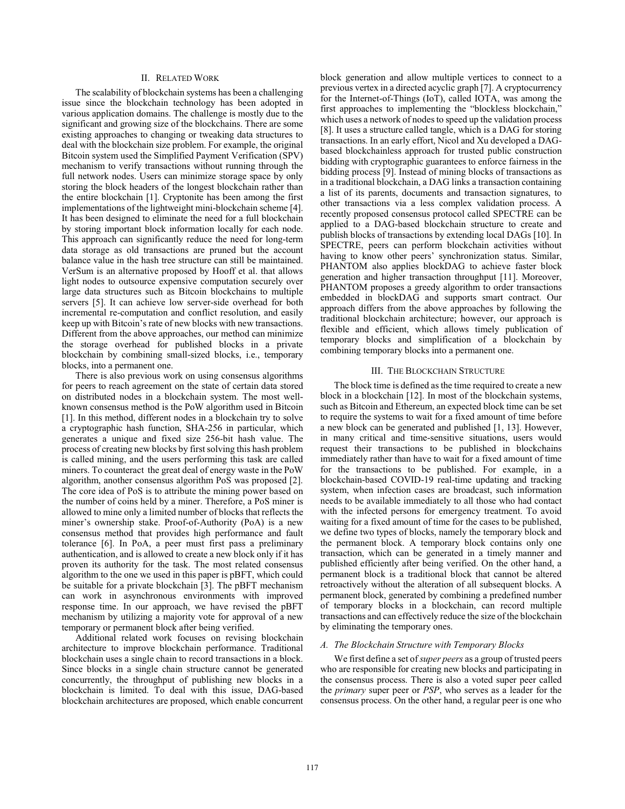# II. RELATED WORK

The scalability of blockchain systems has been a challenging issue since the blockchain technology has been adopted in various application domains. The challenge is mostly due to the significant and growing size of the blockchains. There are some existing approaches to changing or tweaking data structures to deal with the blockchain size problem. For example, the original Bitcoin system used the Simplified Payment Verification (SPV) mechanism to verify transactions without running through the full network nodes. Users can minimize storage space by only storing the block headers of the longest blockchain rather than the entire blockchain [1]. Cryptonite has been among the first implementations of the lightweight mini-blockchain scheme [4]. It has been designed to eliminate the need for a full blockchain by storing important block information locally for each node. This approach can significantly reduce the need for long-term data storage as old transactions are pruned but the account balance value in the hash tree structure can still be maintained. VerSum is an alternative proposed by Hooff et al. that allows light nodes to outsource expensive computation securely over large data structures such as Bitcoin blockchains to multiple servers [5]. It can achieve low server-side overhead for both incremental re-computation and conflict resolution, and easily keep up with Bitcoin's rate of new blocks with new transactions. Different from the above approaches, our method can minimize the storage overhead for published blocks in a private blockchain by combining small-sized blocks, i.e., temporary blocks, into a permanent one.

There is also previous work on using consensus algorithms for peers to reach agreement on the state of certain data stored on distributed nodes in a blockchain system. The most wellknown consensus method is the PoW algorithm used in Bitcoin [1]. In this method, different nodes in a blockchain try to solve a cryptographic hash function, SHA-256 in particular, which generates a unique and fixed size 256-bit hash value. The process of creating new blocks by first solving this hash problem is called mining, and the users performing this task are called miners. To counteract the great deal of energy waste in the PoW algorithm, another consensus algorithm PoS was proposed [2]. The core idea of PoS is to attribute the mining power based on the number of coins held by a miner. Therefore, a PoS miner is allowed to mine only a limited number of blocks that reflects the miner's ownership stake. Proof-of-Authority (PoA) is a new consensus method that provides high performance and fault tolerance [6]. In PoA, a peer must first pass a preliminary authentication, and is allowed to create a new block only if it has proven its authority for the task. The most related consensus algorithm to the one we used in this paper is pBFT, which could be suitable for a private blockchain [3]. The pBFT mechanism can work in asynchronous environments with improved response time. In our approach, we have revised the pBFT mechanism by utilizing a majority vote for approval of a new temporary or permanent block after being verified.

Additional related work focuses on revising blockchain architecture to improve blockchain performance. Traditional blockchain uses a single chain to record transactions in a block. Since blocks in a single chain structure cannot be generated concurrently, the throughput of publishing new blocks in a blockchain is limited. To deal with this issue, DAG-based blockchain architectures are proposed, which enable concurrent

block generation and allow multiple vertices to connect to a previous vertex in a directed acyclic graph [7]. A cryptocurrency for the Internet-of-Things (IoT), called IOTA, was among the first approaches to implementing the "blockless blockchain," which uses a network of nodes to speed up the validation process [8]. It uses a structure called tangle, which is a DAG for storing transactions. In an early effort, Nicol and Xu developed a DAGbased blockchainless approach for trusted public construction bidding with cryptographic guarantees to enforce fairness in the bidding process [9]. Instead of mining blocks of transactions as in a traditional blockchain, a DAG links a transaction containing a list of its parents, documents and transaction signatures, to other transactions via a less complex validation process. A recently proposed consensus protocol called SPECTRE can be applied to a DAG-based blockchain structure to create and publish blocks of transactions by extending local DAGs [10]. In SPECTRE, peers can perform blockchain activities without having to know other peers' synchronization status. Similar, PHANTOM also applies blockDAG to achieve faster block generation and higher transaction throughput [11]. Moreover, PHANTOM proposes a greedy algorithm to order transactions embedded in blockDAG and supports smart contract. Our approach differs from the above approaches by following the traditional blockchain architecture; however, our approach is flexible and efficient, which allows timely publication of temporary blocks and simplification of a blockchain by combining temporary blocks into a permanent one.

# III. THE BLOCKCHAIN STRUCTURE

The block time is defined as the time required to create a new block in a blockchain [12]. In most of the blockchain systems, such as Bitcoin and Ethereum, an expected block time can be set to require the systems to wait for a fixed amount of time before a new block can be generated and published [1, 13]. However, in many critical and time-sensitive situations, users would request their transactions to be published in blockchains immediately rather than have to wait for a fixed amount of time for the transactions to be published. For example, in a blockchain-based COVID-19 real-time updating and tracking system, when infection cases are broadcast, such information needs to be available immediately to all those who had contact with the infected persons for emergency treatment. To avoid waiting for a fixed amount of time for the cases to be published, we define two types of blocks, namely the temporary block and the permanent block. A temporary block contains only one transaction, which can be generated in a timely manner and published efficiently after being verified. On the other hand, a permanent block is a traditional block that cannot be altered retroactively without the alteration of all subsequent blocks. A permanent block, generated by combining a predefined number of temporary blocks in a blockchain, can record multiple transactions and can effectively reduce the size of the blockchain by eliminating the temporary ones.

# *A. The Blockchain Structure with Temporary Blocks*

We first define a set of *super peers* as a group of trusted peers who are responsible for creating new blocks and participating in the consensus process. There is also a voted super peer called the *primary* super peer or *PSP*, who serves as a leader for the consensus process. On the other hand, a regular peer is one who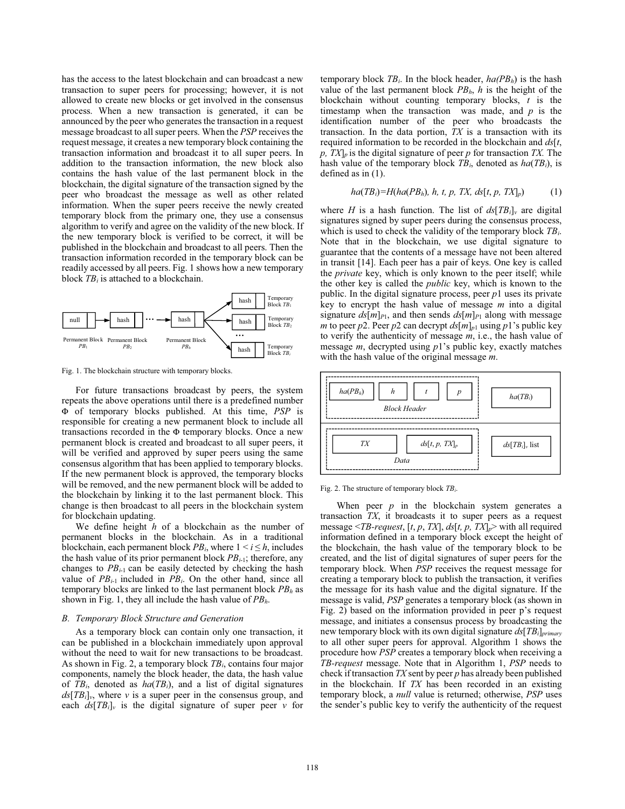has the access to the latest blockchain and can broadcast a new transaction to super peers for processing; however, it is not allowed to create new blocks or get involved in the consensus process. When a new transaction is generated, it can be announced by the peer who generates the transaction in a request message broadcast to all super peers. When the *PSP* receives the request message, it creates a new temporary block containing the transaction information and broadcast it to all super peers. In addition to the transaction information, the new block also contains the hash value of the last permanent block in the blockchain, the digital signature of the transaction signed by the peer who broadcast the message as well as other related information. When the super peers receive the newly created temporary block from the primary one, they use a consensus algorithm to verify and agree on the validity of the new block. If the new temporary block is verified to be correct, it will be published in the blockchain and broadcast to all peers. Then the transaction information recorded in the temporary block can be readily accessed by all peers. Fig. 1 shows how a new temporary block *TBi* is attached to a blockchain.



Fig. 1. The blockchain structure with temporary blocks.

For future transactions broadcast by peers, the system repeats the above operations until there is a predefined number Φ of temporary blocks published. At this time, *PSP* is responsible for creating a new permanent block to include all transactions recorded in the Φ temporary blocks. Once a new permanent block is created and broadcast to all super peers, it will be verified and approved by super peers using the same consensus algorithm that has been applied to temporary blocks. If the new permanent block is approved, the temporary blocks will be removed, and the new permanent block will be added to the blockchain by linking it to the last permanent block. This change is then broadcast to all peers in the blockchain system for blockchain updating.

We define height *h* of a blockchain as the number of permanent blocks in the blockchain. As in a traditional blockchain, each permanent block  $PB_i$ , where  $1 \le i \le h$ , includes the hash value of its prior permanent block  $PB<sub>i-1</sub>$ ; therefore, any changes to  $PB_{i-1}$  can be easily detected by checking the hash value of  $PB_{i-1}$  included in  $PB_i$ . On the other hand, since all temporary blocks are linked to the last permanent block *PBh* as shown in Fig. 1, they all include the hash value of *PBh*.

# *B. Temporary Block Structure and Generation*

As a temporary block can contain only one transaction, it can be published in a blockchain immediately upon approval without the need to wait for new transactions to be broadcast. As shown in Fig. 2, a temporary block *TBi*, contains four major components, namely the block header, the data, the hash value of *TBi*, denoted as *ha*(*TBi*), and a list of digital signatures  $d\mathbf{s}[TB_i]_v$ , where *v* is a super peer in the consensus group, and each  $ds[TB_i]_v$  is the digital signature of super peer *v* for

temporary block *TBi*. In the block header, *ha(PBh*) is the hash value of the last permanent block *PBh*, *h* is the height of the blockchain without counting temporary blocks, *t* is the timestamp when the transaction was made, and *p* is the identification number of the peer who broadcasts the transaction. In the data portion, *TX* is a transaction with its required information to be recorded in the blockchain and *ds*[*t*, *p, TX*]*<sup>p</sup>* is the digital signature of peer *p* for transaction *TX.* The hash value of the temporary block *TBi*, denoted as *ha*(*TBi*), is defined as in (1).

$$
ha(TB_i)=H(ha(PB_h), h, t, p, TX, ds[t, p, TX]_p)
$$
 (1)

where *H* is a hash function. The list of  $ds[TB_i]_v$  are digital signatures signed by super peers during the consensus process, which is used to check the validity of the temporary block *TBi*. Note that in the blockchain, we use digital signature to guarantee that the contents of a message have not been altered in transit [14]. Each peer has a pair of keys. One key is called the *private* key, which is only known to the peer itself; while the other key is called the *public* key, which is known to the public. In the digital signature process, peer *p*1 uses its private key to encrypt the hash value of message *m* into a digital signature  $ds[m]_{P1}$ , and then sends  $ds[m]_{P1}$  along with message *m* to peer *p*2. Peer *p*2 can decrypt  $ds[m]_{p1}$  using *p*1's public key to verify the authenticity of message *m*, i.e., the hash value of message *m*, decrypted using *p*1's public key, exactly matches with the hash value of the original message *m*.



Fig. 2. The structure of temporary block *TBi*.

When peer  $p$  in the blockchain system generates a transaction *TX*, it broadcasts it to super peers as a request message <*TB-request*, [*t*, *p*, *TX*], *ds*[*t, p, TX*]*p*> with all required information defined in a temporary block except the height of the blockchain, the hash value of the temporary block to be created, and the list of digital signatures of super peers for the temporary block. When *PSP* receives the request message for creating a temporary block to publish the transaction, it verifies the message for its hash value and the digital signature. If the message is valid, *PSP* generates a temporary block (as shown in Fig. 2) based on the information provided in peer p's request message, and initiates a consensus process by broadcasting the new temporary block with its own digital signature *ds*[*TBi*]*primary* to all other super peers for approval. Algorithm 1 shows the procedure how *PSP* creates a temporary block when receiving a *TB-request* message. Note that in Algorithm 1, *PSP* needs to check if transaction *TX* sent by peer *p* has already been published in the blockchain. If *TX* has been recorded in an existing temporary block, a *null* value is returned; otherwise, *PSP* uses the sender's public key to verify the authenticity of the request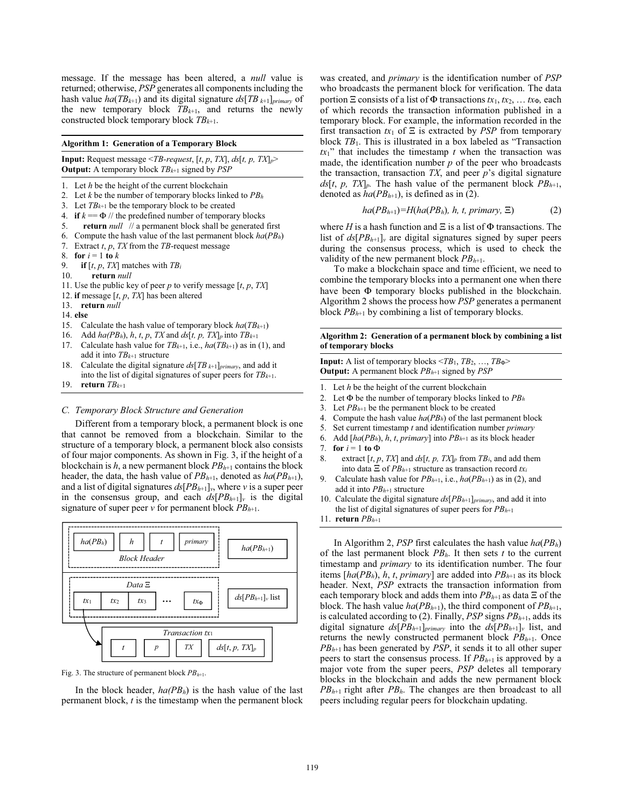message. If the message has been altered, a *null* value is returned; otherwise, *PSP* generates all components including the hash value  $ha(TB_{k+1})$  and its digital signature  $ds[TB_{k+1}]_{primary}$  of the new temporary block  $TB_{k+1}$ , and returns the newly constructed block temporary block  $TB_{k+1}$ .

#### **Algorithm 1: Generation of a Temporary Block**

**Input:** Request message  $\leq$ *TB-request*, [*t*, *p*, *TX*], *ds*[*t*, *p*, *TX*]<sub>*p*</sub>> **Output:** A temporary block *TBk*+1 signed by *PSP* 

- 1. Let *h* be the height of the current blockchain
- 2. Let *k* be the number of temporary blocks linked to *PBh*
- 3. Let  $TB_{k+1}$  be the temporary block to be created
- 4. **if**  $k == \Phi$  // the predefined number of temporary blocks
- 5. **return** *null* // a permanent block shall be generated first
- 6. Compute the hash value of the last permanent block *ha*(*PBh*)
- 7. Extract *t*, *p*, *TX* from the *TB*-request message
- 8. **for**  $i = 1$  **to**  $k$
- 9. **if**  $[t, p, TX]$  matches with *TB<sub>i</sub>* 10. **return** *null*
- 10. **return** *null*
- 11. Use the public key of peer *p* to verify message [*t*, *p*, *TX*]
- 12. **if** message [*t*, *p*, *TX*] has been altered
- 13. **return** *null*
- 14. **else**
- 15. Calculate the hash value of temporary block  $ha(TB_{k+1})$
- 16. Add  $ha(PB_h)$ ,  $h$ ,  $t$ ,  $p$ ,  $TX$  and  $ds[t, p, TX]$ <sup>*p*</sup> into  $TB_{k+1}$
- 17. Calculate hash value for  $TB_{k+1}$ , i.e.,  $ha(TB_{k+1})$  as in (1), and add it into *TBk*+1 structure
- 18. Calculate the digital signature *ds*[*TB k*+1]*primary*, and add it into the list of digital signatures of super peers for  $TB_{k+1}$ .
- 19. **return** *TBk*+1

# *C. Temporary Block Structure and Generation*

Different from a temporary block, a permanent block is one that cannot be removed from a blockchain. Similar to the structure of a temporary block, a permanent block also consists of four major components. As shown in Fig. 3, if the height of a blockchain is  $h$ , a new permanent block  $PB_{h+1}$  contains the block header, the data, the hash value of  $PB_{h+1}$ , denoted as  $ha(PB_{h+1})$ , and a list of digital signatures  $ds[PB<sub>h+1</sub>]$ <sub>*v*</sub>, where *v* is a super peer in the consensus group, and each  $ds[PB<sub>h+1</sub>]$ <sup>*v*</sup> is the digital signature of super peer  $v$  for permanent block  $PB_{h+1}$ .





In the block header,  $ha(PB<sub>h</sub>)$  is the hash value of the last permanent block, *t* is the timestamp when the permanent block

was created, and *primary* is the identification number of *PSP* who broadcasts the permanent block for verification. The data portion  $\Xi$  consists of a list of  $\Phi$  transactions  $tx_1, tx_2, ...$  *tx* $\Phi$ *, each* of which records the transaction information published in a temporary block. For example, the information recorded in the first transaction  $tx_1$  of  $\Xi$  is extracted by *PSP* from temporary block *TB*1. This is illustrated in a box labeled as "Transaction  $tx_1$ " that includes the timestamp  $t$  when the transaction was made, the identification number  $p$  of the peer who broadcasts the transaction, transaction  $TX$ , and peer  $p$ 's digital signature  $ds[t, p, TX]_p$ . The hash value of the permanent block  $PB_{h+1}$ , denoted as  $ha(PB_{h+1})$ , is defined as in (2).

$$
ha(PB_{h+1})=H(ha(PB_h), h, t, primary, \Xi)
$$
 (2)

where *H* is a hash function and  $\Xi$  is a list of  $\Phi$  transactions. The list of  $ds[PB_{h+1}]_v$  are digital signatures signed by super peers during the consensus process, which is used to check the validity of the new permanent block  $PB_{h+1}$ .

To make a blockchain space and time efficient, we need to combine the temporary blocks into a permanent one when there have been Φ temporary blocks published in the blockchain. Algorithm 2 shows the process how *PSP* generates a permanent block *PBh*+1 by combining a list of temporary blocks.

**Algorithm 2: Generation of a permanent block by combining a list of temporary blocks** 

**Input:** A list of temporary blocks  $\leq TB_1$ ,  $TB_2$ , ...,  $TB_{\Phi}$ **Output:** A permanent block *PBh*+1 signed by *PSP* 

- 1. Let *h* be the height of the current blockchain
- 2. Let Φ be the number of temporary blocks linked to *PBh*
- 3. Let  $PB_{h+1}$  be the permanent block to be created
- 4. Compute the hash value  $ha(PB_h)$  of the last permanent block
- 5. Set current timestamp *t* and identification number *primary*
- 6. Add  $[ha(PB<sub>h</sub>), h, t, primary]$  into  $PB<sub>h+1</sub>$  as its block header
- 7. **for**  $i = 1$  **to**  $\Phi$
- 8. extract [*t*, *p*, *TX*] and *ds*[*t, p, TX*]*p* from *TBi*, and add them into data  $\Xi$  of *PB<sub>h+1</sub>* structure as transaction record  $tx_i$
- 9. Calculate hash value for  $PB_{h+1}$ , i.e.,  $ha(PB_{h+1})$  as in (2), and add it into *PBh*+1 structure
- 10. Calculate the digital signature *ds*[*PBh*+1]*primary*, and add it into the list of digital signatures of super peers for  $PB_{h+1}$
- 11. **return** *PBh*+1

In Algorithm 2, *PSP* first calculates the hash value *ha*(*PBh*) of the last permanent block *PBh*. It then sets *t* to the current timestamp and *primary* to its identification number. The four items  $[ha(PB<sub>h</sub>), h, t, primary]$  are added into  $PB<sub>h+1</sub>$  as its block header. Next, *PSP* extracts the transaction information from each temporary block and adds them into  $PB_{h+1}$  as data  $\Xi$  of the block. The hash value  $ha(PB_{h+1})$ , the third component of  $PB_{h+1}$ , is calculated according to (2). Finally, *PSP* signs *PB<sub>h+1</sub>*, adds its digital signature *ds*[*PBh*+1]*primary* into the *ds*[*PBh*+1]*<sup>v</sup>* list, and returns the newly constructed permanent block  $PB<sub>h+1</sub>$ . Once *PBh*+1 has been generated by *PSP*, it sends it to all other super peers to start the consensus process. If  $PB_{h+1}$  is approved by a major vote from the super peers, *PSP* deletes all temporary blocks in the blockchain and adds the new permanent block  $PB_{h+1}$  right after  $PB_h$ . The changes are then broadcast to all peers including regular peers for blockchain updating.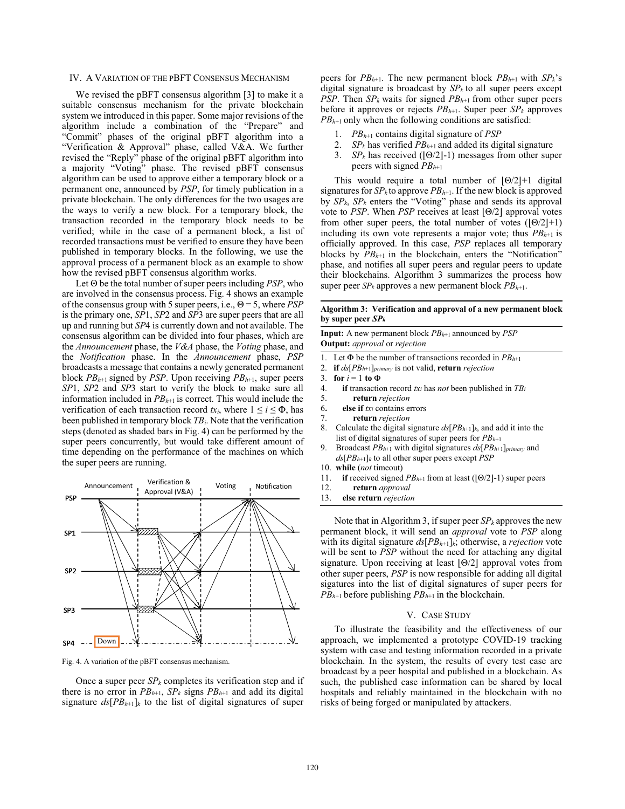# IV. A VARIATION OF THE PBFT CONSENSUS MECHANISM

We revised the pBFT consensus algorithm [3] to make it a suitable consensus mechanism for the private blockchain system we introduced in this paper. Some major revisions of the algorithm include a combination of the "Prepare" and "Commit" phases of the original pBFT algorithm into a "Verification & Approval" phase, called V&A. We further revised the "Reply" phase of the original pBFT algorithm into a majority "Voting" phase. The revised pBFT consensus algorithm can be used to approve either a temporary block or a permanent one, announced by *PSP*, for timely publication in a private blockchain. The only differences for the two usages are the ways to verify a new block. For a temporary block, the transaction recorded in the temporary block needs to be verified; while in the case of a permanent block, a list of recorded transactions must be verified to ensure they have been published in temporary blocks. In the following, we use the approval process of a permanent block as an example to show how the revised pBFT consensus algorithm works.

Let  $\Theta$  be the total number of super peers including *PSP*, who are involved in the consensus process. Fig. 4 shows an example of the consensus group with 5 super peers, i.e.,  $\Theta = 5$ , where *PSP* is the primary one, *SP*1, *SP*2 and *SP*3 are super peers that are all up and running but *SP*4 is currently down and not available. The consensus algorithm can be divided into four phases, which are the *Announcement* phase, the *V&A* phase, the *Voting* phase, and the *Notification* phase. In the *Announcement* phase, *PSP* broadcasts a message that contains a newly generated permanent block *PBh*+1 signed by *PSP*. Upon receiving *PBh*+1, super peers *SP*1, *SP*2 and *SP*3 start to verify the block to make sure all information included in  $PB<sub>h+1</sub>$  is correct. This would include the verification of each transaction record  $tx_i$ , where  $1 \le i \le \Phi$ , has been published in temporary block *TBi*. Note that the verification steps (denoted as shaded bars in Fig. 4) can be performed by the super peers concurrently, but would take different amount of time depending on the performance of the machines on which the super peers are running.



Fig. 4. A variation of the pBFT consensus mechanism.

Once a super peer  $SP_k$  completes its verification step and if there is no error in  $PB_{h+1}$ ,  $SP_k$  signs  $PB_{h+1}$  and add its digital signature  $ds[PB_{h+1}]_k$  to the list of digital signatures of super peers for  $PB_{h+1}$ . The new permanent block  $PB_{h+1}$  with  $SP_k$ 's digital signature is broadcast by  $SP_k$  to all super peers except *PSP*. Then  $SP_k$  waits for signed  $PB_{h+1}$  from other super peers before it approves or rejects  $PB_{h+1}$ . Super peer  $SP_k$  approves  $PB_{h+1}$  only when the following conditions are satisfied:

- 1. *PBh*+1 contains digital signature of *PSP*
- 2. *SP<sub>k</sub>* has verified  $PB_{h+1}$  and added its digital signature<br>3. *SP<sub>k</sub>* has received ( $\left|\frac{\Theta}{2}\right|$ -1) messages from other sup
- 3.  $SP_k$  has received ([ $\Theta$ /2]-1) messages from other super peers with signed *PBh*+1

This would require a total number of  $[0/2]+1$  digital signatures for  $SP_k$  to approve  $PB_{h+1}$ . If the new block is approved by  $SP_k$ ,  $SP_k$  enters the "Voting" phase and sends its approval vote to *PSP*. When *PSP* receives at least  $[ $\Theta$ /2]$  approval votes from other super peers, the total number of votes  $(|\Theta/2|+1)$ including its own vote represents a major vote; thus  $PB_{h+1}$  is officially approved. In this case, *PSP* replaces all temporary blocks by  $PB_{h+1}$  in the blockchain, enters the "Notification" phase, and notifies all super peers and regular peers to update their blockchains. Algorithm 3 summarizes the process how super peer  $SP_k$  approves a new permanent block  $PB_{h+1}$ .

# **Algorithm 3: Verification and approval of a new permanent block by super peer** *SPk*

**Input:** A new permanent block *PBh*+1 announced by *PSP* **Output:** *approval* or *rejection* 

- 1. Let  $\Phi$  be the number of transactions recorded in  $PB_{h+1}$
- 2. **if** *ds*[*PBh*+1]*primary* is not valid, **return** *rejection*
- 3. **for**  $i = 1$  **to**  $\Phi$
- 4. **if** transaction record *txi* has *not* been published in *TBi*
- 5. **return** *rejection*
- 6**. else if** *txi* contains errors
- 7. **return** *rejection*
- 8. Calculate the digital signature  $ds[PB<sub>h+1</sub>]$ <sub>k</sub>, and add it into the list of digital signatures of super peers for  $PB_{h+1}$ <br>9 Broadcast  $PR_{h+1}$  with digital signatures  $ds[PR_{h+1}]$
- 9. Broadcast *PBh*+1 with digital signatures *ds*[*PBh*+1]*primary* and  *ds*[*PBh*+1]*k* to all other super peers except *PSP*
- 10. **while** (*not* timeout)
- 11. **if** received signed  $PB_{h+1}$  from at least ( $[Θ/2]-1$ ) super peers
- 12. **return** *approval*
- 13. **else return** *rejection*

Note that in Algorithm 3, if super peer  $SP_k$  approves the new permanent block, it will send an *approval* vote to *PSP* along with its digital signature *ds*[*PBh*+1]*k*; otherwise, a *rejection* vote will be sent to *PSP* without the need for attaching any digital signature. Upon receiving at least  $[ $\Theta/2$ ]$  approval votes from other super peers, *PSP* is now responsible for adding all digital sigatures into the list of digital signatures of super peers for  $PB_{h+1}$  before publishing  $PB_{h+1}$  in the blockchain.

#### V. CASE STUDY

To illustrate the feasibility and the effectiveness of our approach, we implemented a prototype COVID-19 tracking system with case and testing information recorded in a private blockchain. In the system, the results of every test case are broadcast by a peer hospital and published in a blockchain. As such, the published case information can be shared by local hospitals and reliably maintained in the blockchain with no risks of being forged or manipulated by attackers.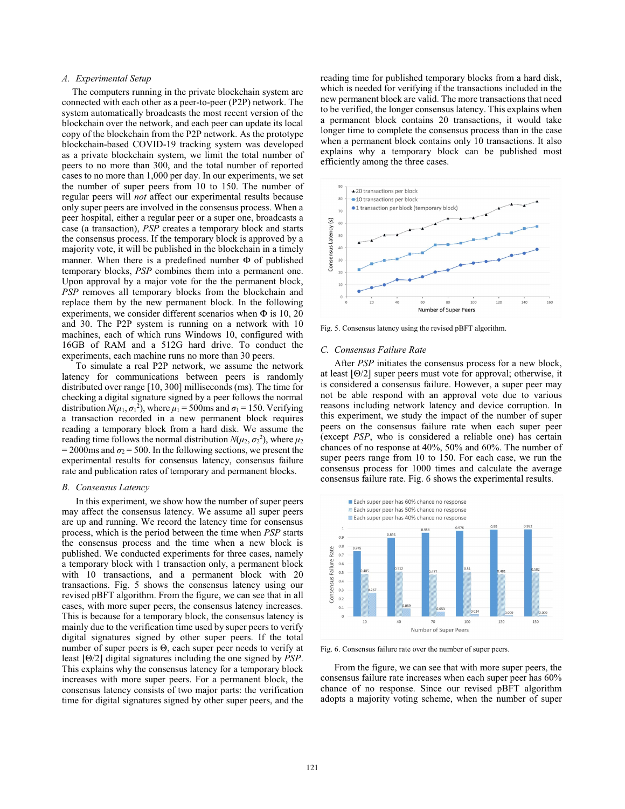#### *A. Experimental Setup*

The computers running in the private blockchain system are connected with each other as a peer-to-peer (P2P) network. The system automatically broadcasts the most recent version of the blockchain over the network, and each peer can update its local copy of the blockchain from the P2P network. As the prototype blockchain-based COVID-19 tracking system was developed as a private blockchain system, we limit the total number of peers to no more than 300, and the total number of reported cases to no more than 1,000 per day. In our experiments, we set the number of super peers from 10 to 150. The number of regular peers will *not* affect our experimental results because only super peers are involved in the consensus process. When a peer hospital, either a regular peer or a super one, broadcasts a case (a transaction), *PSP* creates a temporary block and starts the consensus process. If the temporary block is approved by a majority vote, it will be published in the blockchain in a timely manner. When there is a predefined number  $\Phi$  of published temporary blocks, *PSP* combines them into a permanent one. Upon approval by a major vote for the the permanent block, *PSP* removes all temporary blocks from the blockchain and replace them by the new permanent block. In the following experiments, we consider different scenarios when  $\Phi$  is 10, 20 and 30. The P2P system is running on a network with 10 machines, each of which runs Windows 10, configured with 16GB of RAM and a 512G hard drive. To conduct the experiments, each machine runs no more than 30 peers.

To simulate a real P2P network, we assume the network latency for communications between peers is randomly distributed over range [10, 300] milliseconds (ms). The time for checking a digital signature signed by a peer follows the normal distribution  $N(\mu_1, \sigma_1^2)$ , where  $\mu_1 = 500$  ms and  $\sigma_1 = 150$ . Verifying a transaction recorded in a new permanent block requires reading a temporary block from a hard disk. We assume the reading time follows the normal distribution  $N(\mu_2, \sigma_2^2)$ , where  $\mu_2$  $= 2000$ ms and  $\sigma_2 = 500$ . In the following sections, we present the experimental results for consensus latency, consensus failure rate and publication rates of temporary and permanent blocks.

#### *B. Consensus Latency*

In this experiment, we show how the number of super peers may affect the consensus latency. We assume all super peers are up and running. We record the latency time for consensus process, which is the period between the time when *PSP* starts the consensus process and the time when a new block is published. We conducted experiments for three cases, namely a temporary block with 1 transaction only, a permanent block with 10 transactions, and a permanent block with 20 transactions. Fig. 5 shows the consensus latency using our revised pBFT algorithm. From the figure, we can see that in all cases, with more super peers, the consensus latency increases. This is because for a temporary block, the consensus latency is mainly due to the verification time used by super peers to verify digital signatures signed by other super peers. If the total number of super peers is  $\Theta$ , each super peer needs to verify at least [ $\Theta$ /2] digital signatures including the one signed by *PSP*. This explains why the consensus latency for a temporary block increases with more super peers. For a permanent block, the consensus latency consists of two major parts: the verification time for digital signatures signed by other super peers, and the

reading time for published temporary blocks from a hard disk, which is needed for verifying if the transactions included in the new permanent block are valid. The more transactions that need to be verified, the longer consensus latency. This explains when a permanent block contains 20 transactions, it would take longer time to complete the consensus process than in the case when a permanent block contains only 10 transactions. It also explains why a temporary block can be published most efficiently among the three cases.



Fig. 5. Consensus latency using the revised pBFT algorithm.

#### *C. Consensus Failure Rate*

After *PSP* initiates the consensus process for a new block, at least  $[ $\Theta$ /2]$  super peers must vote for approval; otherwise, it is considered a consensus failure. However, a super peer may not be able respond with an approval vote due to various reasons including network latency and device corruption. In this experiment, we study the impact of the number of super peers on the consensus failure rate when each super peer (except *PSP*, who is considered a reliable one) has certain chances of no response at 40%, 50% and 60%. The number of super peers range from 10 to 150. For each case, we run the consensus process for 1000 times and calculate the average consensus failure rate. Fig. 6 shows the experimental results.



Fig. 6. Consensus failure rate over the number of super peers.

From the figure, we can see that with more super peers, the consensus failure rate increases when each super peer has 60% chance of no response. Since our revised pBFT algorithm adopts a majority voting scheme, when the number of super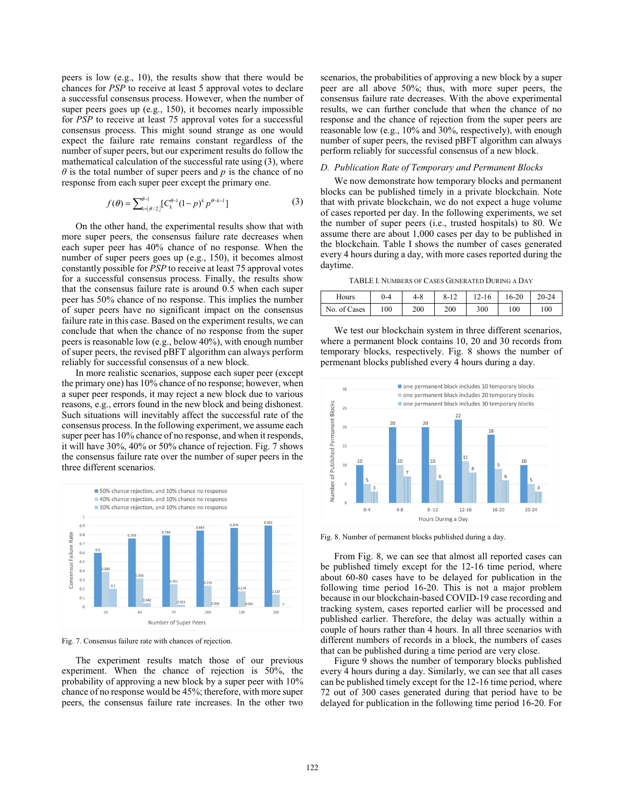peers is low (e.g., 10), the results show that there would be chances for *PSP* to receive at least 5 approval votes to declare a successful consensus process. However, when the number of super peers goes up (e.g., 150), it becomes nearly impossible for *PSP* to receive at least 75 approval votes for a successful consensus process. This might sound strange as one would expect the failure rate remains constant regardless of the number of super peers, but our experiment results do follow the mathematical calculation of the successful rate using (3), where  $\theta$  is the total number of super peers and  $p$  is the chance of no response from each super peer except the primary one.

$$
f(\theta) = \sum_{k=\lfloor \theta/2 \rfloor}^{\theta-1} [C_k^{\theta-1} (1-p)^k p^{\theta-k-1}]
$$
 (3)

On the other hand, the experimental results show that with more super peers, the consensus failure rate decreases when each super peer has 40% chance of no response. When the number of super peers goes up (e.g., 150), it becomes almost constantly possible for *PSP* to receive at least 75 approval votes for a successful consensus process. Finally, the results show that the consensus failure rate is around 0.5 when each super peer has 50% chance of no response. This implies the number of super peers have no significant impact on the consensus failure rate in this case. Based on the experiment results, we can conclude that when the chance of no response from the super peers is reasonable low (e.g., below 40%), with enough number of super peers, the revised pBFT algorithm can always perform reliably for successful consensus of a new block.

In more realistic scenarios, suppose each super peer (except the primary one) has 10% chance of no response; however, when a super peer responds, it may reject a new block due to various reasons, e.g., errors found in the new block and being dishonest. Such situations will inevitably affect the successful rate of the consensus process. In the following experiment, we assume each super peer has 10% chance of no response, and when it responds, it will have 30%, 40% or 50% chance of rejection. Fig. 7 shows the consensus failure rate over the number of super peers in the three different scenarios.



Fig. 7. Consensus failure rate with chances of rejection.

The experiment results match those of our previous experiment. When the chance of rejection is 50%, the probability of approving a new block by a super peer with 10% chance of no response would be 45%; therefore, with more super peers, the consensus failure rate increases. In the other two

scenarios, the probabilities of approving a new block by a super peer are all above 50%; thus, with more super peers, the consensus failure rate decreases. With the above experimental results, we can further conclude that when the chance of no response and the chance of rejection from the super peers are reasonable low (e.g., 10% and 30%, respectively), with enough number of super peers, the revised pBFT algorithm can always perform reliably for successful consensus of a new block.

### *D. Publication Rate of Temporary and Permanent Blocks*

We now demonstrate how temporary blocks and permanent blocks can be published timely in a private blockchain. Note that with private blockchain, we do not expect a huge volume of cases reported per day. In the following experiments, we set the number of super peers (i.e., trusted hospitals) to 80. We assume there are about 1,000 cases per day to be published in the blockchain. Table I shows the number of cases generated every 4 hours during a day, with more cases reported during the daytime.

TABLE I. NUMBERS OF CASES GENERATED DURING A DAY

| Hours        | 0-4 | $4 - 8$ | $8 - 12$ | $12 - 16$ | 16-20 | $20 - 24$ |
|--------------|-----|---------|----------|-----------|-------|-----------|
| No. of Cases | 100 | 200     | 200      | 300       | 100   | 100       |

We test our blockchain system in three different scenarios, where a permanent block contains 10, 20 and 30 records from temporary blocks, respectively. Fig. 8 shows the number of permenant blocks published every 4 hours during a day.



Fig. 8. Number of permanent blocks published during a day.

From Fig. 8, we can see that almost all reported cases can be published timely except for the 12-16 time period, where about 60-80 cases have to be delayed for publication in the following time period 16-20. This is not a major problem because in our blockchain-based COVID-19 case recording and tracking system, cases reported earlier will be processed and published earlier. Therefore, the delay was actually within a couple of hours rather than 4 hours. In all three scenarios with different numbers of records in a block, the numbers of cases that can be published during a time period are very close.

Figure 9 shows the number of temporary blocks published every 4 hours during a day. Similarly, we can see that all cases can be published timely except for the 12-16 time period, where 72 out of 300 cases generated during that period have to be delayed for publication in the following time period 16-20. For